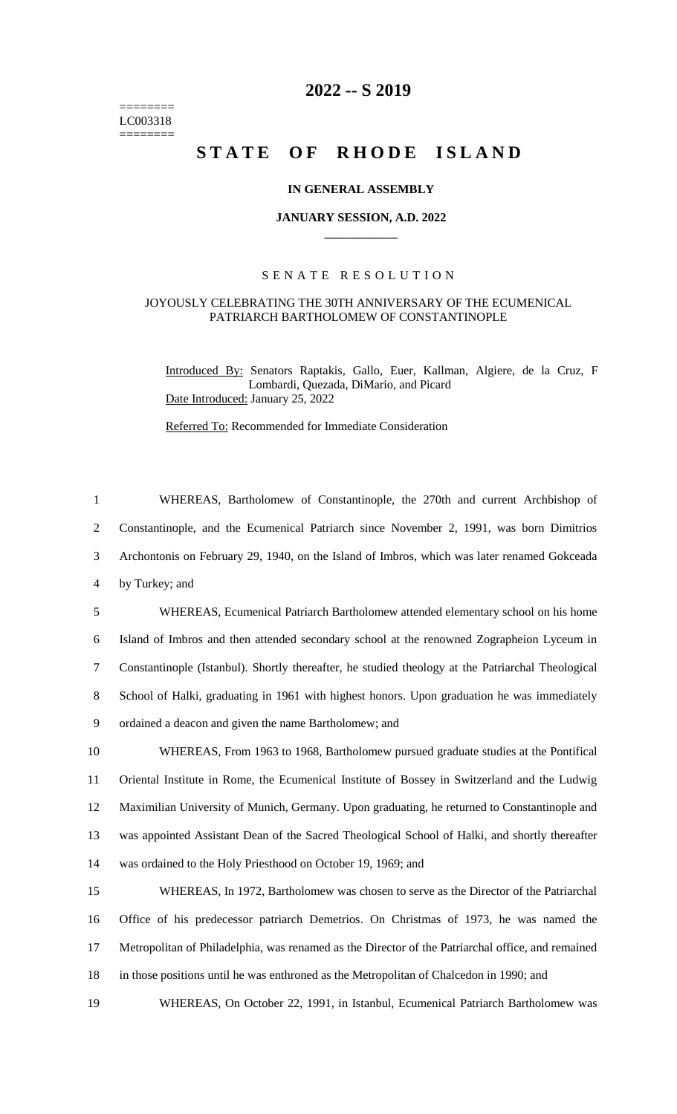======== LC003318  $=$ 

## **2022 -- S 2019**

# STATE OF RHODE ISLAND

#### **IN GENERAL ASSEMBLY**

#### **JANUARY SESSION, A.D. 2022 \_\_\_\_\_\_\_\_\_\_\_\_**

### S E N A T E R E S O L U T I O N

#### JOYOUSLY CELEBRATING THE 30TH ANNIVERSARY OF THE ECUMENICAL PATRIARCH BARTHOLOMEW OF CONSTANTINOPLE

Introduced By: Senators Raptakis, Gallo, Euer, Kallman, Algiere, de la Cruz, F Lombardi, Quezada, DiMario, and Picard Date Introduced: January 25, 2022

Referred To: Recommended for Immediate Consideration

| $\mathbf{1}$   | WHEREAS, Bartholomew of Constantinople, the 270th and current Archbishop of                       |
|----------------|---------------------------------------------------------------------------------------------------|
| $\overline{2}$ | Constantinople, and the Ecumenical Patriarch since November 2, 1991, was born Dimitrios           |
| 3              | Archontonis on February 29, 1940, on the Island of Imbros, which was later renamed Gokceada       |
| $\overline{4}$ | by Turkey; and                                                                                    |
| 5              | WHEREAS, Ecumenical Patriarch Bartholomew attended elementary school on his home                  |
| 6              | Island of Imbros and then attended secondary school at the renowned Zographeion Lyceum in         |
| $\tau$         | Constantinople (Istanbul). Shortly thereafter, he studied theology at the Patriarchal Theological |
| 8              | School of Halki, graduating in 1961 with highest honors. Upon graduation he was immediately       |
| 9              | ordained a deacon and given the name Bartholomew; and                                             |
| 10             | WHEREAS, From 1963 to 1968, Bartholomew pursued graduate studies at the Pontifical                |
| 11             | Oriental Institute in Rome, the Ecumenical Institute of Bossey in Switzerland and the Ludwig      |
| 12             | Maximilian University of Munich, Germany. Upon graduating, he returned to Constantinople and      |
| 13             | was appointed Assistant Dean of the Sacred Theological School of Halki, and shortly thereafter    |
| 14             | was ordained to the Holy Priesthood on October 19, 1969; and                                      |
| 15             | WHEREAS, In 1972, Bartholomew was chosen to serve as the Director of the Patriarchal              |
| 16             | Office of his predecessor patriarch Demetrios. On Christmas of 1973, he was named the             |
| 17             | Metropolitan of Philadelphia, was renamed as the Director of the Patriarchal office, and remained |
| 18             | in those positions until he was enthroned as the Metropolitan of Chalcedon in 1990; and           |
| 19             | WHEREAS, On October 22, 1991, in Istanbul, Ecumenical Patriarch Bartholomew was                   |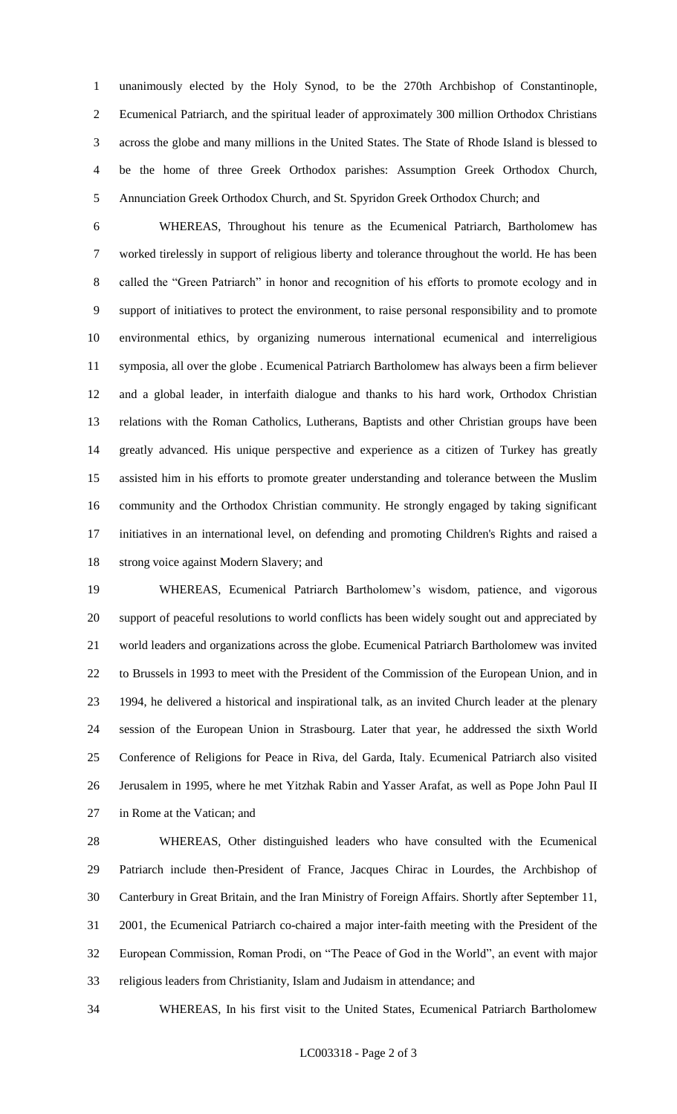unanimously elected by the Holy Synod, to be the 270th Archbishop of Constantinople, Ecumenical Patriarch, and the spiritual leader of approximately 300 million Orthodox Christians across the globe and many millions in the United States. The State of Rhode Island is blessed to be the home of three Greek Orthodox parishes: Assumption Greek Orthodox Church, Annunciation Greek Orthodox Church, and St. Spyridon Greek Orthodox Church; and

 WHEREAS, Throughout his tenure as the Ecumenical Patriarch, Bartholomew has worked tirelessly in support of religious liberty and tolerance throughout the world. He has been called the "Green Patriarch" in honor and recognition of his efforts to promote ecology and in support of initiatives to protect the environment, to raise personal responsibility and to promote environmental ethics, by organizing numerous international ecumenical and interreligious symposia, all over the globe . Ecumenical Patriarch Bartholomew has always been a firm believer and a global leader, in interfaith dialogue and thanks to his hard work, Orthodox Christian relations with the Roman Catholics, Lutherans, Baptists and other Christian groups have been greatly advanced. His unique perspective and experience as a citizen of Turkey has greatly assisted him in his efforts to promote greater understanding and tolerance between the Muslim community and the Orthodox Christian community. He strongly engaged by taking significant initiatives in an international level, on defending and promoting Children's Rights and raised a strong voice against Modern Slavery; and

 WHEREAS, Ecumenical Patriarch Bartholomew's wisdom, patience, and vigorous support of peaceful resolutions to world conflicts has been widely sought out and appreciated by world leaders and organizations across the globe. Ecumenical Patriarch Bartholomew was invited to Brussels in 1993 to meet with the President of the Commission of the European Union, and in 1994, he delivered a historical and inspirational talk, as an invited Church leader at the plenary session of the European Union in Strasbourg. Later that year, he addressed the sixth World Conference of Religions for Peace in Riva, del Garda, Italy. Ecumenical Patriarch also visited Jerusalem in 1995, where he met Yitzhak Rabin and Yasser Arafat, as well as Pope John Paul II in Rome at the Vatican; and

 WHEREAS, Other distinguished leaders who have consulted with the Ecumenical Patriarch include then-President of France, Jacques Chirac in Lourdes, the Archbishop of Canterbury in Great Britain, and the Iran Ministry of Foreign Affairs. Shortly after September 11, 2001, the Ecumenical Patriarch co-chaired a major inter-faith meeting with the President of the European Commission, Roman Prodi, on "The Peace of God in the World", an event with major religious leaders from Christianity, Islam and Judaism in attendance; and

WHEREAS, In his first visit to the United States, Ecumenical Patriarch Bartholomew